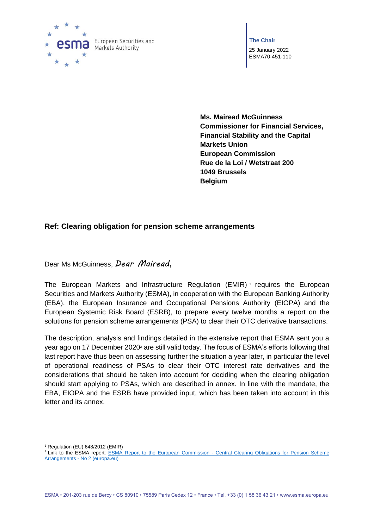

**The Chair** 25 January 2022 ESMA70-451-110

**Ms. Mairead McGuinness Commissioner for Financial Services, Financial Stability and the Capital Markets Union European Commission Rue de la Loi / Wetstraat 200 1049 Brussels Belgium**

## **Ref: Clearing obligation for pension scheme arrangements**

Dear Ms McGuinness, *Dear Mairead,*

The European Markets and Infrastructure Regulation (EMIR)<sup>1</sup> requires the European Securities and Markets Authority (ESMA), in cooperation with the European Banking Authority (EBA), the European Insurance and Occupational Pensions Authority (EIOPA) and the European Systemic Risk Board (ESRB), to prepare every twelve months a report on the solutions for pension scheme arrangements (PSA) to clear their OTC derivative transactions.

The description, analysis and findings detailed in the extensive report that ESMA sent you a year ago on 17 December 2020<sup>2</sup> are still valid today. The focus of ESMA's efforts following that last report have thus been on assessing further the situation a year later, in particular the level of operational readiness of PSAs to clear their OTC interest rate derivatives and the considerations that should be taken into account for deciding when the clearing obligation should start applying to PSAs, which are described in annex. In line with the mandate, the EBA, EIOPA and the ESRB have provided input, which has been taken into account in this letter and its annex.

<sup>1</sup> Regulation (EU) 648/2012 (EMIR)

<sup>&</sup>lt;sup>2</sup> Link to the ESMA report: **ESMA Report to the European Commission** - Central Clearing Obligations for Pension Scheme Arrangements - [No 2 \(europa.eu\)](https://www.esma.europa.eu/document/esma-report-european-commission-central-clearing-obligations-pension-scheme-arrangements-no)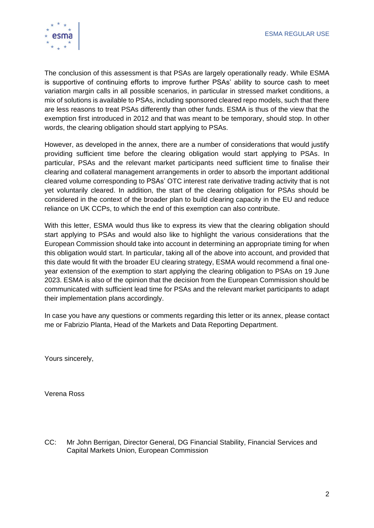

The conclusion of this assessment is that PSAs are largely operationally ready. While ESMA is supportive of continuing efforts to improve further PSAs' ability to source cash to meet variation margin calls in all possible scenarios, in particular in stressed market conditions, a mix of solutions is available to PSAs, including sponsored cleared repo models, such that there are less reasons to treat PSAs differently than other funds. ESMA is thus of the view that the exemption first introduced in 2012 and that was meant to be temporary, should stop. In other words, the clearing obligation should start applying to PSAs.

However, as developed in the annex, there are a number of considerations that would justify providing sufficient time before the clearing obligation would start applying to PSAs. In particular, PSAs and the relevant market participants need sufficient time to finalise their clearing and collateral management arrangements in order to absorb the important additional cleared volume corresponding to PSAs' OTC interest rate derivative trading activity that is not yet voluntarily cleared. In addition, the start of the clearing obligation for PSAs should be considered in the context of the broader plan to build clearing capacity in the EU and reduce reliance on UK CCPs, to which the end of this exemption can also contribute.

With this letter, ESMA would thus like to express its view that the clearing obligation should start applying to PSAs and would also like to highlight the various considerations that the European Commission should take into account in determining an appropriate timing for when this obligation would start. In particular, taking all of the above into account, and provided that this date would fit with the broader EU clearing strategy, ESMA would recommend a final oneyear extension of the exemption to start applying the clearing obligation to PSAs on 19 June 2023. ESMA is also of the opinion that the decision from the European Commission should be communicated with sufficient lead time for PSAs and the relevant market participants to adapt their implementation plans accordingly.

In case you have any questions or comments regarding this letter or its annex, please contact me or Fabrizio Planta, Head of the Markets and Data Reporting Department.

Yours sincerely,

Verena Ross

CC: Mr John Berrigan, Director General, DG Financial Stability, Financial Services and Capital Markets Union, European Commission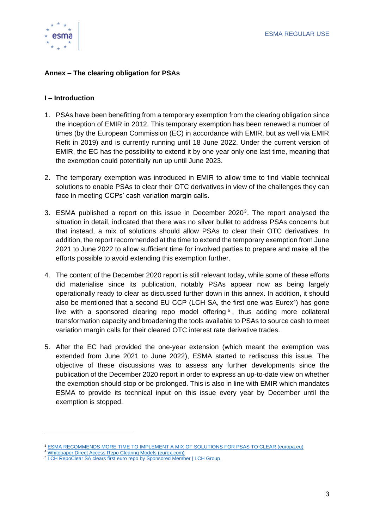

## **Annex – The clearing obligation for PSAs**

### **I – Introduction**

- 1. PSAs have been benefitting from a temporary exemption from the clearing obligation since the inception of EMIR in 2012. This temporary exemption has been renewed a number of times (by the European Commission (EC) in accordance with EMIR, but as well via EMIR Refit in 2019) and is currently running until 18 June 2022. Under the current version of EMIR, the EC has the possibility to extend it by one year only one last time, meaning that the exemption could potentially run up until June 2023.
- 2. The temporary exemption was introduced in EMIR to allow time to find viable technical solutions to enable PSAs to clear their OTC derivatives in view of the challenges they can face in meeting CCPs' cash variation margin calls.
- 3. ESMA published a report on this issue in December  $2020<sup>3</sup>$ . The report analysed the situation in detail, indicated that there was no silver bullet to address PSAs concerns but that instead, a mix of solutions should allow PSAs to clear their OTC derivatives. In addition, the report recommended at the time to extend the temporary exemption from June 2021 to June 2022 to allow sufficient time for involved parties to prepare and make all the efforts possible to avoid extending this exemption further.
- 4. The content of the December 2020 report is still relevant today, while some of these efforts did materialise since its publication, notably PSAs appear now as being largely operationally ready to clear as discussed further down in this annex. In addition, it should also be mentioned that a second EU CCP (LCH SA, the first one was Eurex<sup>4</sup>) has gone live with a sponsored clearing repo model offering<sup>5</sup>, thus adding more collateral transformation capacity and broadening the tools available to PSAs to source cash to meet variation margin calls for their cleared OTC interest rate derivative trades.
- 5. After the EC had provided the one-year extension (which meant the exemption was extended from June 2021 to June 2022), ESMA started to rediscuss this issue. The objective of these discussions was to assess any further developments since the publication of the December 2020 report in order to express an up-to-date view on whether the exemption should stop or be prolonged. This is also in line with EMIR which mandates ESMA to provide its technical input on this issue every year by December until the exemption is stopped.

<sup>3</sup> [ESMA RECOMMENDS MORE TIME TO IMPLEMENT A MIX OF SOLUTIONS FOR PSAS TO CLEAR \(europa.eu\)](https://www.esma.europa.eu/press-news/esma-news/esma-recommends-more-time-implement-mix-solutions-psas-clear)

<sup>4</sup> [Whitepaper Direct Access Repo Clearing Models \(eurex.com\)](https://www.eurex.com/ec-en/join/isa-direct/whitepaper-direct-access-repo-clearing-models)

<sup>5</sup> [LCH RepoClear SA clears first euro repo by Sponsored Member | LCH Group](https://www.lch.com/resources/press-releases/lch-repoclear-sa-clears-first-euro-repo-sponsored-member)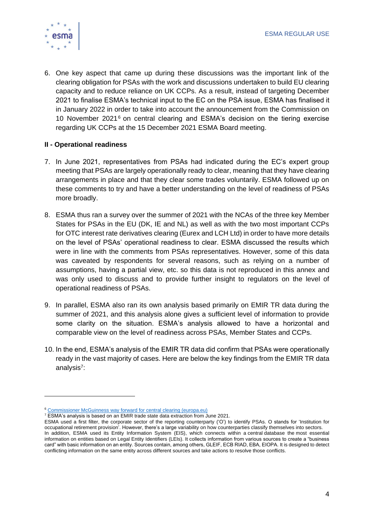

6. One key aspect that came up during these discussions was the important link of the clearing obligation for PSAs with the work and discussions undertaken to build EU clearing capacity and to reduce reliance on UK CCPs. As a result, instead of targeting December 2021 to finalise ESMA's technical input to the EC on the PSA issue, ESMA has finalised it in January 2022 in order to take into account the announcement from the Commission on 10 November 2021<sup>6</sup> on central clearing and ESMA's decision on the tiering exercise regarding UK CCPs at the 15 December 2021 ESMA Board meeting.

## **II - Operational readiness**

- 7. In June 2021, representatives from PSAs had indicated during the EC's expert group meeting that PSAs are largely operationally ready to clear, meaning that they have clearing arrangements in place and that they clear some trades voluntarily. ESMA followed up on these comments to try and have a better understanding on the level of readiness of PSAs more broadly.
- 8. ESMA thus ran a survey over the summer of 2021 with the NCAs of the three key Member States for PSAs in the EU (DK, IE and NL) as well as with the two most important CCPs for OTC interest rate derivatives clearing (Eurex and LCH Ltd) in order to have more details on the level of PSAs' operational readiness to clear. ESMA discussed the results which were in line with the comments from PSAs representatives. However, some of this data was caveated by respondents for several reasons, such as relying on a number of assumptions, having a partial view, etc. so this data is not reproduced in this annex and was only used to discuss and to provide further insight to regulators on the level of operational readiness of PSAs.
- 9. In parallel, ESMA also ran its own analysis based primarily on EMIR TR data during the summer of 2021, and this analysis alone gives a sufficient level of information to provide some clarity on the situation. ESMA's analysis allowed to have a horizontal and comparable view on the level of readiness across PSAs, Member States and CCPs.
- 10. In the end, ESMA's analysis of the EMIR TR data did confirm that PSAs were operationally ready in the vast majority of cases. Here are below the key findings from the EMIR TR data analysis<sup>7</sup>:

<sup>6</sup> [Commissioner McGuinness way forward for central clearing \(europa.eu\)](https://ec.europa.eu/commission/presscorner/detail/en/STATEMENT_21_5905)

<sup>&</sup>lt;sup>7</sup> ESMA's analysis is based on an EMIR trade state data extraction from June 2021.

ESMA used a first filter, the corporate sector of the reporting counterparty ('O') to identify PSAs. O stands for 'Institution for occupational retirement provision'. However, there's a large variability on how counterparties classify themselves into sectors. In addition, ESMA used its Entity Information System (EIS), which connects within a central database the most essential information on entities based on Legal Entity Identifiers (LEIs). It collects information from various sources to create a "business card" with basic information on an entity. Sources contain, among others, GLEIF, ECB RIAD, EBA, EIOPA. It is designed to detect conflicting information on the same entity across different sources and take actions to resolve those conflicts.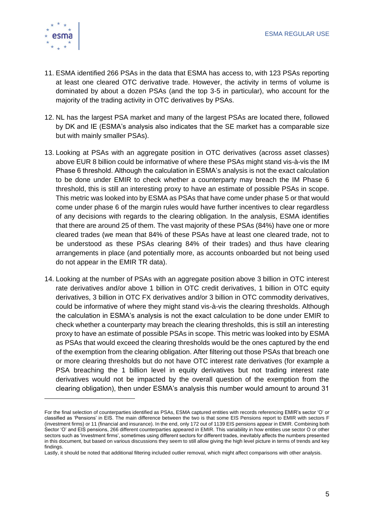

- 11. ESMA identified 266 PSAs in the data that ESMA has access to, with 123 PSAs reporting at least one cleared OTC derivative trade. However, the activity in terms of volume is dominated by about a dozen PSAs (and the top 3-5 in particular), who account for the majority of the trading activity in OTC derivatives by PSAs.
- 12. NL has the largest PSA market and many of the largest PSAs are located there, followed by DK and IE (ESMA's analysis also indicates that the SE market has a comparable size but with mainly smaller PSAs).
- 13. Looking at PSAs with an aggregate position in OTC derivatives (across asset classes) above EUR 8 billion could be informative of where these PSAs might stand vis-à-vis the IM Phase 6 threshold. Although the calculation in ESMA's analysis is not the exact calculation to be done under EMIR to check whether a counterparty may breach the IM Phase 6 threshold, this is still an interesting proxy to have an estimate of possible PSAs in scope. This metric was looked into by ESMA as PSAs that have come under phase 5 or that would come under phase 6 of the margin rules would have further incentives to clear regardless of any decisions with regards to the clearing obligation. In the analysis, ESMA identifies that there are around 25 of them. The vast majority of these PSAs (84%) have one or more cleared trades (we mean that 84% of these PSAs have at least one cleared trade, not to be understood as these PSAs clearing 84% of their trades) and thus have clearing arrangements in place (and potentially more, as accounts onboarded but not being used do not appear in the EMIR TR data).
- 14. Looking at the number of PSAs with an aggregate position above 3 billion in OTC interest rate derivatives and/or above 1 billion in OTC credit derivatives, 1 billion in OTC equity derivatives, 3 billion in OTC FX derivatives and/or 3 billion in OTC commodity derivatives, could be informative of where they might stand vis-à-vis the clearing thresholds. Although the calculation in ESMA's analysis is not the exact calculation to be done under EMIR to check whether a counterparty may breach the clearing thresholds, this is still an interesting proxy to have an estimate of possible PSAs in scope. This metric was looked into by ESMA as PSAs that would exceed the clearing thresholds would be the ones captured by the end of the exemption from the clearing obligation. After filtering out those PSAs that breach one or more clearing thresholds but do not have OTC interest rate derivatives (for example a PSA breaching the 1 billion level in equity derivatives but not trading interest rate derivatives would not be impacted by the overall question of the exemption from the clearing obligation), then under ESMA's analysis this number would amount to around 31

For the final selection of counterparties identified as PSAs, ESMA captured entities with records referencing EMIR's sector 'O' or classified as 'Pensions' in EIS. The main difference between the two is that some EIS Pensions report to EMIR with sectors F (investment firms) or 11 (financial and insurance). In the end, only 172 out of 1139 EIS pensions appear in EMIR. Combining both Sector 'O' and EIS pensions, 266 different counterparties appeared in EMIR. This variability in how entities use sector O or other sectors such as 'investment firms', sometimes using different sectors for different trades, inevitably affects the numbers presented in this document, but based on various discussions they seem to still allow giving the high level picture in terms of trends and key findings.

Lastly, it should be noted that additional filtering included outlier removal, which might affect comparisons with other analysis.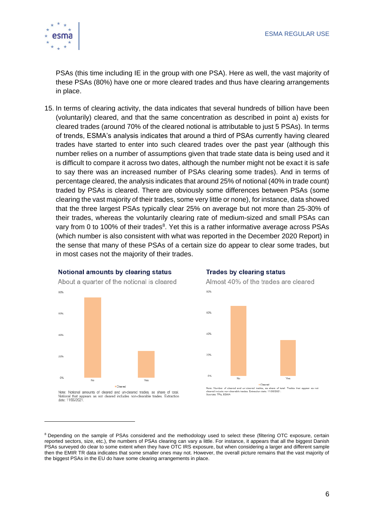

PSAs (this time including IE in the group with one PSA). Here as well, the vast majority of these PSAs (80%) have one or more cleared trades and thus have clearing arrangements in place.

15. In terms of clearing activity, the data indicates that several hundreds of billion have been (voluntarily) cleared, and that the same concentration as described in point a) exists for cleared trades (around 70% of the cleared notional is attributable to just 5 PSAs). In terms of trends, ESMA's analysis indicates that around a third of PSAs currently having cleared trades have started to enter into such cleared trades over the past year (although this number relies on a number of assumptions given that trade state data is being used and it is difficult to compare it across two dates, although the number might not be exact it is safe to say there was an increased number of PSAs clearing some trades). And in terms of percentage cleared, the analysis indicates that around 25% of notional (40% in trade count) traded by PSAs is cleared. There are obviously some differences between PSAs (some clearing the vast majority of their trades, some very little or none), for instance, data showed that the three largest PSAs typically clear 25% on average but not more than 25-30% of their trades, whereas the voluntarily clearing rate of medium-sized and small PSAs can vary from 0 to 100% of their trades<sup>8</sup>. Yet this is a rather informative average across PSAs (which number is also consistent with what was reported in the December 2020 Report) in the sense that many of these PSAs of a certain size do appear to clear some trades, but in most cases not the majority of their trades.



#### **Trades by clearing status**

Almost 40% of the trades are cleared



Note: Number of cleared and un-cleared trades, as share of<br>cleared include non-clearable trades. Extraction date: 11/08/2021<br>Sources: TRs, ESMA Trades that appear as not of total

<sup>&</sup>lt;sup>8</sup> Depending on the sample of PSAs considered and the methodology used to select these (filtering OTC exposure, certain reported sectors, size, etc.), the numbers of PSAs clearing can vary a little. For instance, it appears that all the biggest Danish PSAs surveyed do clear to some extent when they have OTC IRS exposure, but when considering a larger and different sample then the EMIR TR data indicates that some smaller ones may not. However, the overall picture remains that the vast majority of the biggest PSAs in the EU do have some clearing arrangements in place.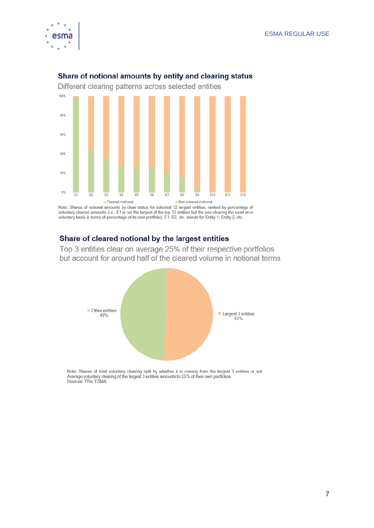



## Share of notional amounts by entity and clearing status

Note: Shares of notional amounts by clear status for selected 12 largest entities, ranked by percentage of voluntary cleared amounts (i.e., E1 is not the largest of the top 12 entities but the one clearing the most on a vo

## Share of cleared notional by the largest entities

Top 3 entities clear on average 25% of their respective portfolios but account for around half of the cleared volume in notional terms



Note: Shares of total voluntary clearing split by whether it is coming from the largest 3 entities or not. Average voluntary clearing of the largest 3 entities amounts to 25% of their own portfolios. Sources: TRs, ESMA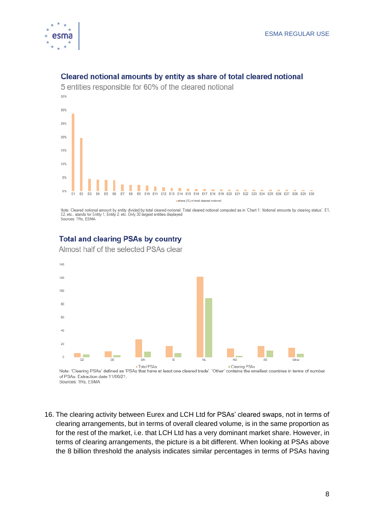



### Cleared notional amounts by entity as share of total cleared notional

Note: Cleared notional amount by entity divided by total cleared notional. Total cleared notional computed as in 'Chart 1: Notional amounts by clearing status'. E1, E2, etc., stands for Entity 1, Entity 2, etc. Only 30 largest entities displayed. Sources: TRs, ESMA

## **Total and clearing PSAs by country**

Almost half of the selected PSAs clear



of PSAs. Extraction date 11/06/21 Sources: TRs, ESMA

16. The clearing activity between Eurex and LCH Ltd for PSAs' cleared swaps, not in terms of clearing arrangements, but in terms of overall cleared volume, is in the same proportion as for the rest of the market, i.e. that LCH Ltd has a very dominant market share. However, in terms of clearing arrangements, the picture is a bit different. When looking at PSAs above the 8 billion threshold the analysis indicates similar percentages in terms of PSAs having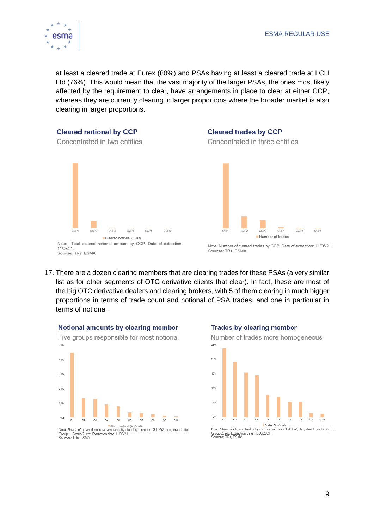

at least a cleared trade at Eurex (80%) and PSAs having at least a cleared trade at LCH Ltd (76%). This would mean that the vast majority of the larger PSAs, the ones most likely affected by the requirement to clear, have arrangements in place to clear at either CCP, whereas they are currently clearing in larger proportions where the broader market is also clearing in larger proportions.

# **Cleared notional by CCP**

### **Cleared trades by CCP** Concentrated in three entities







Note: Total cleared notional amount by CCP. Date of extraction: 11/06/21 Sources: TRs, ESMA

Note: Number of cleared trades by CCP. Date of extraction: 11/06/21. Sources: TRs, ESMA

17. There are a dozen clearing members that are clearing trades for these PSAs (a very similar list as for other segments of OTC derivative clients that clear). In fact, these are most of the big OTC derivative dealers and clearing brokers, with 5 of them clearing in much bigger proportions in terms of trade count and notional of PSA trades, and one in particular in terms of notional.

### Notional amounts by clearing member



Note: Share of cleared notional amounts by clearing member. G1, G2, etc., stands for

Group 1, Group 2, etc. Extraction date 11/06/21.<br>Sources: TRs. ESMA

### **Trades by clearing member**





Note: Share of cleared trades by clearing member. G1, G2, etc., stands for Group 1,<br>Group 2, etc. Extraction date 11/06/2021.<br>Sources: TRs, ESMA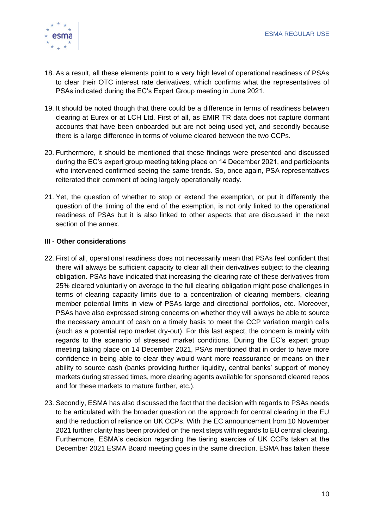

- 18. As a result, all these elements point to a very high level of operational readiness of PSAs to clear their OTC interest rate derivatives, which confirms what the representatives of PSAs indicated during the EC's Expert Group meeting in June 2021.
- 19. It should be noted though that there could be a difference in terms of readiness between clearing at Eurex or at LCH Ltd. First of all, as EMIR TR data does not capture dormant accounts that have been onboarded but are not being used yet, and secondly because there is a large difference in terms of volume cleared between the two CCPs.
- 20. Furthermore, it should be mentioned that these findings were presented and discussed during the EC's expert group meeting taking place on 14 December 2021, and participants who intervened confirmed seeing the same trends. So, once again, PSA representatives reiterated their comment of being largely operationally ready.
- 21. Yet, the question of whether to stop or extend the exemption, or put it differently the question of the timing of the end of the exemption, is not only linked to the operational readiness of PSAs but it is also linked to other aspects that are discussed in the next section of the annex.

## **III - Other considerations**

- 22. First of all, operational readiness does not necessarily mean that PSAs feel confident that there will always be sufficient capacity to clear all their derivatives subject to the clearing obligation. PSAs have indicated that increasing the clearing rate of these derivatives from 25% cleared voluntarily on average to the full clearing obligation might pose challenges in terms of clearing capacity limits due to a concentration of clearing members, clearing member potential limits in view of PSAs large and directional portfolios, etc. Moreover, PSAs have also expressed strong concerns on whether they will always be able to source the necessary amount of cash on a timely basis to meet the CCP variation margin calls (such as a potential repo market dry-out). For this last aspect, the concern is mainly with regards to the scenario of stressed market conditions. During the EC's expert group meeting taking place on 14 December 2021, PSAs mentioned that in order to have more confidence in being able to clear they would want more reassurance or means on their ability to source cash (banks providing further liquidity, central banks' support of money markets during stressed times, more clearing agents available for sponsored cleared repos and for these markets to mature further, etc.).
- 23. Secondly, ESMA has also discussed the fact that the decision with regards to PSAs needs to be articulated with the broader question on the approach for central clearing in the EU and the reduction of reliance on UK CCPs. With the EC announcement from 10 November 2021 further clarity has been provided on the next steps with regards to EU central clearing. Furthermore, ESMA's decision regarding the tiering exercise of UK CCPs taken at the December 2021 ESMA Board meeting goes in the same direction. ESMA has taken these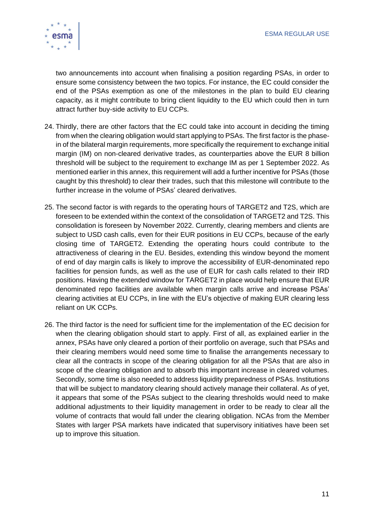

two announcements into account when finalising a position regarding PSAs, in order to ensure some consistency between the two topics. For instance, the EC could consider the end of the PSAs exemption as one of the milestones in the plan to build EU clearing capacity, as it might contribute to bring client liquidity to the EU which could then in turn attract further buy-side activity to EU CCPs.

- 24. Thirdly, there are other factors that the EC could take into account in deciding the timing from when the clearing obligation would start applying to PSAs. The first factor is the phasein of the bilateral margin requirements, more specifically the requirement to exchange initial margin (IM) on non-cleared derivative trades, as counterparties above the EUR 8 billion threshold will be subject to the requirement to exchange IM as per 1 September 2022. As mentioned earlier in this annex, this requirement will add a further incentive for PSAs (those caught by this threshold) to clear their trades, such that this milestone will contribute to the further increase in the volume of PSAs' cleared derivatives.
- 25. The second factor is with regards to the operating hours of TARGET2 and T2S, which are foreseen to be extended within the context of the consolidation of TARGET2 and T2S. This consolidation is foreseen by November 2022. Currently, clearing members and clients are subject to USD cash calls, even for their EUR positions in EU CCPs, because of the early closing time of TARGET2. Extending the operating hours could contribute to the attractiveness of clearing in the EU. Besides, extending this window beyond the moment of end of day margin calls is likely to improve the accessibility of EUR-denominated repo facilities for pension funds, as well as the use of EUR for cash calls related to their IRD positions. Having the extended window for TARGET2 in place would help ensure that EUR denominated repo facilities are available when margin calls arrive and increase PSAs' clearing activities at EU CCPs, in line with the EU's objective of making EUR clearing less reliant on UK CCPs.
- 26. The third factor is the need for sufficient time for the implementation of the EC decision for when the clearing obligation should start to apply. First of all, as explained earlier in the annex, PSAs have only cleared a portion of their portfolio on average, such that PSAs and their clearing members would need some time to finalise the arrangements necessary to clear all the contracts in scope of the clearing obligation for all the PSAs that are also in scope of the clearing obligation and to absorb this important increase in cleared volumes. Secondly, some time is also needed to address liquidity preparedness of PSAs. Institutions that will be subject to mandatory clearing should actively manage their collateral. As of yet, it appears that some of the PSAs subject to the clearing thresholds would need to make additional adjustments to their liquidity management in order to be ready to clear all the volume of contracts that would fall under the clearing obligation. NCAs from the Member States with larger PSA markets have indicated that supervisory initiatives have been set up to improve this situation.